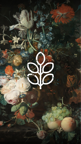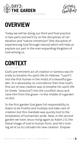



## **OVERVIEW**

## **CONTEXT**

Today we will be doing our third and final practice in two parts and we'll try on the disciplines of celebration and "nature immersion" (the discipline of experiencing God through nature) which will help us explore our part in the ever-expanding Kingdom of God among us.

In the first garden God gave full responsibility to Adam to be fruitful and multiply and take care of creation but this mandate was quickly lost to the temptation of humanistic pride. Now, in the second garden we have Jesus rising again as Adam 2.0, the literal image of God in human form, and He's inviting all of us to cultivate His new creation. Empow-



God's pre-eminent act of creation in Genesis was literally to breathe His spirit-life (in Hebrew: "ruach") into the frst human in the midst of a beautiful garden. It is absolutely no coincidence then that God's first act of new creation was to breathe His spirit-life (in Greek: "pneuma") into the crucifed Jesus and raise Him from the grave—in the middle of a garden

no less.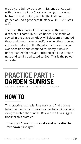### NATURE-IMMERSION | STILLNESS | PRAYER **PRACTICE PART1: GARDEN SUNRISE**



ered by the Spirit we are commissioned once again with the words of our Creator echoing in our souls: be fruitful and multiply and fll the Earth with the garden of God's goodness (Matthew 28:18-20, Acts 1:8)!

This practice is simple. Rise early and find a place (whether near your home or somewhere with an epic view) to watch the sunrise. Below are a few suggestions for this practice:

•Ideally you'll want to be **awake and in location before dawn** (first light).



It is from this place of divine purpose that we rediscover our carefully buried hopes. The seeds we sowed in the grave on Friday will blossom a hundred thousand times more beautifully when they grow up in the eternal soil of the Kingdom of Heaven. What was once finite and destined for decay is now infinite; marked for heaven, stripped of all our brokenness and totally dedicated to God. This is the power of Easter.

#### **HOW TO**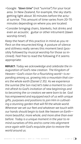- •Google: *"dawn time"* (not "sunrise") for your local area. In New Zealand, for example, the sky starts getting light about 30 minutes before the actual sunrise. This amount of time varies from 20-70 minutes depending on where you are located.
- •Consider bringing chairs, blankets, hot drinks and even an acoustic guitar or other intrument (dawn worship time!).

Keep the heart of this practice in mind as you refect on the resurrected King. A posture of silence and stillness really serves this moment best (possibly followed by musical worship for those so inclined). Feel free to read the following if it seems appropriate:

**REFLECT:** *Today we acknowledge and celebrate the inauguration of God's new creation. The Kingdom of Heaven—God's vision for a fourishing world—is expanding among us, growing into a mountain that covers the whole earth (Daniel 2:35). As we experience the sunrise (the Son rise) let's take a moment to commit afresh to God's invitation of new beginnings and to becoming the co-creators we were born to be. God has empowered and equipped each of us with unique gifts, purposes and positions to join Him in cultivating a stunning garden that will fll the whole world. Wherever we set our feet and whatever we touch with our hands should begin to look like heaven on Earth more beautiful, more whole, and more alive than ever before. Today is a unique moment in the year to remind ourselves of this and to come into alignment once again with God's exquisite plan to restore the world around us.*

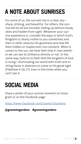For some of us, the sun will rise in a clear sky sharp, striking, and beautiful. For others, the sunrise will be all but invisible, fading up behind cloudy skies and hidden from sight. Whatever your sunrise experience is, consider the ways in which God's Kingdom is clearly visible to you sometimes and then in other seasons His goodness and new life feels hidden or maybe even non-existent. When it comes to the sun, we have faith that it rises whether we can see its brilliance directly or not. In the same way, hold on to faith that the kingdom of God is rising—illuminating our world with truth and inviting those in darkness to come to His great light (Matthew 4:16,17), even in the times when you can't see it.

Share a photo of your sunrise moment on Instagram or on the Facebook page:

<https://www.facebook.com/GravesToGardens>

#### **@gravestogardens #gravestogardens**

GRAVES TO GARDENS | DAY 3 | THE GARDEN 4 OF 6 (



# **A NOTE ABOUT SUNRISES**

## **SOCIAL MEDIA**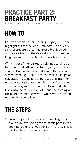#### CELBRATION | BREAKING BREAD | COMMUNITY **PRACTICE PART 2: BREAKFAST PARTY**

Part two of this Easter morning might just be the highlight of the weekend. Breakfast. The brief is simple: prepare a breakfast feast, break bread and raise a toast to the risen King and His endless kingdom and then eat together as a household.

While most of the spiritual disciplines tend to be things we find difficult or challenging, celebration can feel like an anomaly as it's something we actually enjoy doing. In this case, the real challenge of celebration is to do it with purpose and intention, to choose to celebrate the things that God values. This morning, we will funnel our focus and intentions into the resurrection of Jesus, the coming of the kingdom and the ways in which we are invited

#### to bring heaven to Earth.

**1. Cook:** Prepare the breakfast feast together. Make sure everyone gets to participate in the cooking, baking, chopping, serving, etc. This is a valuable act of co-creation.



**HOW TO**

### **THE STEPS**